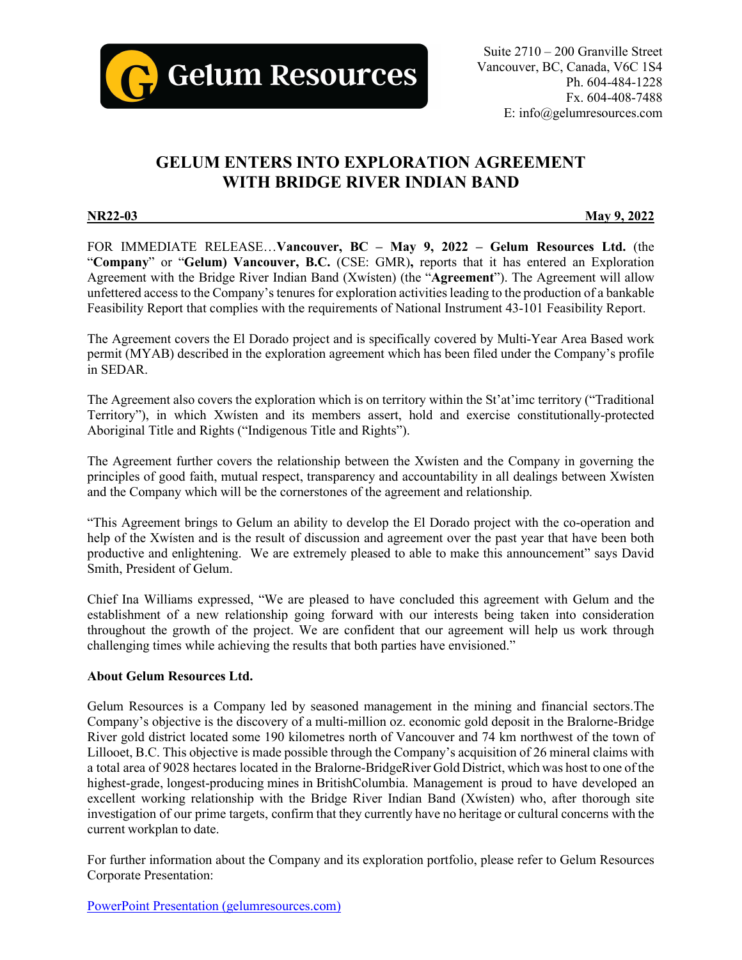

# **GELUM ENTERS INTO EXPLORATION AGREEMENT WITH BRIDGE RIVER INDIAN BAND**

**NR22-03 May 9, 2022**

FOR IMMEDIATE RELEASE…**Vancouver, BC – May 9, 2022 – Gelum Resources Ltd.** (the "**Company**" or "**Gelum) Vancouver, B.C.** (CSE: GMR)**,** reports that it has entered an Exploration Agreement with the Bridge River Indian Band (Xwísten) (the "**Agreement**"). The Agreement will allow unfettered access to the Company's tenures for exploration activities leading to the production of a bankable Feasibility Report that complies with the requirements of National Instrument 43-101 Feasibility Report.

The Agreement covers the El Dorado project and is specifically covered by Multi-Year Area Based work permit (MYAB) described in the exploration agreement which has been filed under the Company's profile in SEDAR.

The Agreement also covers the exploration which is on territory within the St'at'imc territory ("Traditional Territory"), in which Xwísten and its members assert, hold and exercise constitutionally-protected Aboriginal Title and Rights ("Indigenous Title and Rights").

The Agreement further covers the relationship between the Xwísten and the Company in governing the principles of good faith, mutual respect, transparency and accountability in all dealings between Xwísten and the Company which will be the cornerstones of the agreement and relationship.

"This Agreement brings to Gelum an ability to develop the El Dorado project with the co-operation and help of the Xwísten and is the result of discussion and agreement over the past year that have been both productive and enlightening. We are extremely pleased to able to make this announcement" says David Smith, President of Gelum.

Chief Ina Williams expressed, "We are pleased to have concluded this agreement with Gelum and the establishment of a new relationship going forward with our interests being taken into consideration throughout the growth of the project. We are confident that our agreement will help us work through challenging times while achieving the results that both parties have envisioned."

## **About Gelum Resources Ltd.**

Gelum Resources is a Company led by seasoned management in the mining and financial sectors.The Company's objective is the discovery of a multi-million oz. economic gold deposit in the Bralorne-Bridge River gold district located some 190 kilometres north of Vancouver and 74 km northwest of the town of Lillooet, B.C. This objective is made possible through the Company's acquisition of 26 mineral claims with a total area of 9028 hectares located in the Bralorne-BridgeRiver Gold District, which was host to one of the highest-grade, longest-producing mines in BritishColumbia. Management is proud to have developed an excellent working relationship with the Bridge River Indian Band (Xwísten) who, after thorough site investigation of our prime targets, confirm that they currently have no heritage or cultural concerns with the current workplan to date.

For further information about the Company and its exploration portfolio, please refer to Gelum Resources Corporate Presentation:

[PowerPoint Presentation \(gelumresources.com\)](https://gelumresources.com/site/assets/files/5717/gelum_resources_deck_-_winter2022-03.pdf)